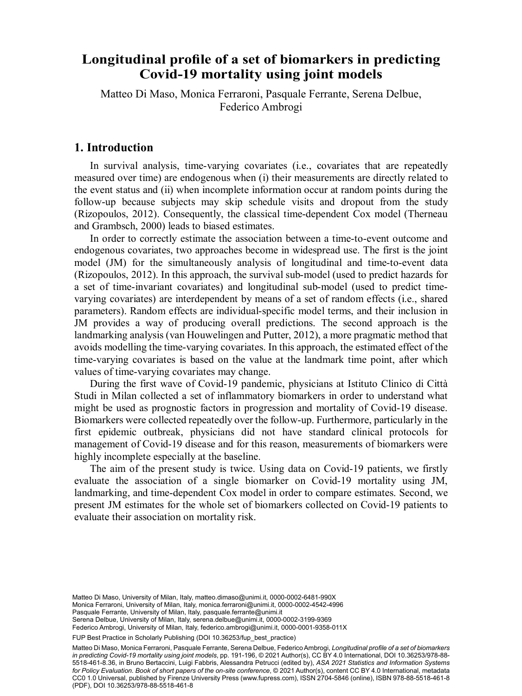# Longitudinal profile of a set of biomarkers in predicting Covid-19 mortality using joint models

Matteo Di Maso, Monica Ferraroni, Pasquale Ferrante, Serena Delbue Matteo Di Maso, Monica Ferraroni, Pasquale Ferrante, Serena Delbue,<br>Eederico Ambrosi  $\Gamma$  defined  $\Gamma$   $\Gamma$   $\Gamma$ Federico Ambrogi

# **1. Introduction**

In survival analysis, time-varying covariates (i.e., covariates that are repeatedly measured over time) are endogenous when (i) their measurements are directly related to the event status and (ii) when incomplete information occur at random points during the follow-up because subjects may skip schedule visits and dropout from the study (Rizopoulos, 2012). Consequently, the classical time-dependent Cox model (Therneau and Grambsch, 2000) leads to biased estimates.

In order to correctly estimate the association between a time-to-event outcome and endogenous covariates, two approaches become in widespread use. The first is the joint model (JM) for the simultaneously analysis of longitudinal and time-to-event data (Rizopoulos, 2012). In this approach, the survival sub-model (used to predict hazards for a set of time-invariant covariates) and longitudinal sub-model (used to predict timevarying covariates) are interdependent by means of a set of random effects (i.e., shared parameters). Random effects are individual-specific model terms, and their inclusion in JM provides a way of producing overall predictions. The second approach is the landmarking analysis (van Houwelingen and Putter, 2012), a more pragmatic method that avoids modelling the time-varying covariates. In this approach, the estimated effect of the time-varying covariates is based on the value at the landmark time point, after which values of time-varying covariates may change.

During the first wave of Covid-19 pandemic, physicians at Istituto Clinico di Città Studi in Milan collected a set of inflammatory biomarkers in order to understand what might be used as prognostic factors in progression and mortality of Covid-19 disease. Biomarkers were collected repeatedly over the follow-up. Furthermore, particularly in the first epidemic outbreak, physicians did not have standard clinical protocols for management of Covid-19 disease and for this reason, measurements of biomarkers were highly incomplete especially at the baseline.

The aim of the present study is twice. Using data on Covid-19 patients, we firstly evaluate the association of a single biomarker on Covid-19 mortality using JM, landmarking, and time-dependent Cox model in order to compare estimates. Second, we present JM estimates for the whole set of biomarkers collected on Covid-19 patients to evaluate their association on mortality risk.

Pasquale Ferrante, University of Milan, Italy, pasquale.ferrante@unimi.it<br>Serena Delbue, University of Milan, Italy, [serena.delbue@unimi.it](mailto:serena.delbue@unimi.it), [0000-0002-3199-9369](https://orcid.org/0000-0002-3199-9369) Matteo Di Maso, University of Milan, Italy, [matteo.dimaso@unimi.it,](mailto:matteo.dimaso@unimi.it) [0000-0002-6481-990X](https://orcid.org/0000-0002-6481-990X) Monica Ferraroni, University of Milan, Italy, [monica.ferraroni@unimi.it](mailto:monica.ferraroni@unimi.it), [0000-0002-4542-4996](https://orcid.org/0000-0002-4542-4996) Pasquale Ferrante, University of Milan, Italy, [pasquale.ferrante@unimi.it](mailto:pasquale.ferrante@unimi.it)

Federico Ambrogi, University of Milan, Italy, [federico.ambrogi@unimi.it,](mailto:federico.ambrogi@unimi.it) [0000-0001-9358-011X](https://orcid.org/0000-0001-9358-011X)

FUP Best Practice in Scholarly Publishing (DOI [10.36253/fup\\_best\\_practice](https://doi.org/10.36253/fup_best_practice))

Matteo Di Maso, Monica Ferraroni, Pasquale Ferrante, Serena Delbue, Federico Ambrogi, *Longitudinal profile of a set of biomarkers in predicting Covid-19 mortality using joint models*, pp. 191-196, © 2021 Author(s), [CC BY 4.0 International](http://creativecommons.org/licenses/by/4.0/legalcode), DOI [10.36253/978-88-](https://doi.org/10.36253/978-88-5518-461-8.36) [5518-461-8.36](https://doi.org/10.36253/978-88-5518-461-8.36), in Bruno Bertaccini, Luigi Fabbris, Alessandra Petrucci (edited by), *ASA 2021 Statistics and Information Systems for Policy Evaluation. Book of short papers of the on-site conference*, © 2021 Author(s), content [CC BY 4.0 International](http://creativecommons.org/licenses/by/4.0/legalcode), metadata [CC0 1.0 Universal,](https://creativecommons.org/publicdomain/zero/1.0/legalcode) published by Firenze University Press ([www.fupress.com\)](http://www.fupress.com), ISSN 2704-5846 (online), ISBN 978-88-5518-461-8 (PDF), DOI [10.36253/978-88-5518-461-8](https://doi.org/10.36253/978-88-5518-461-8)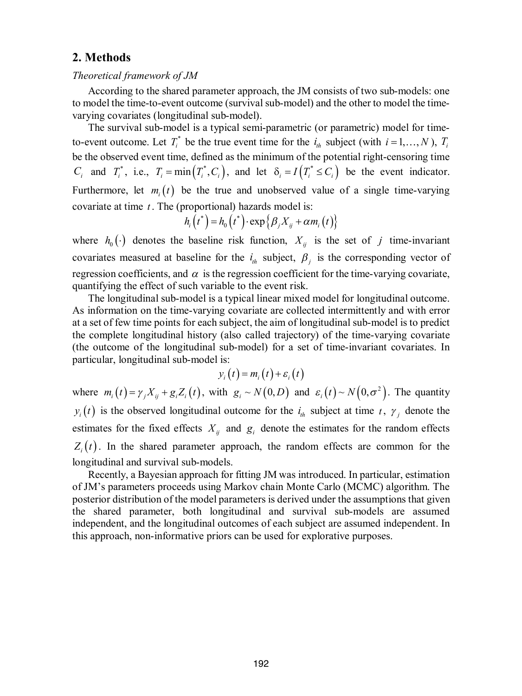# **2. Methods**

#### *Theoretical framework of JM*

According to the shared parameter approach, the JM consists of two sub-models: one to model the time-to-event outcome (survival sub-model) and the other to model the timevarying covariates (longitudinal sub-model).

The survival sub-model is a typical semi-parametric (or parametric) model for timeto-event outcome. Let  $T_i^*$  be the true event time for the  $i_{th}$  subject (with  $i = 1, ..., N$ ),  $T_i$ be the observed event time, defined as the minimum of the potential right-censoring time  $C_i$  and  $T_i^*$ , i.e.,  $T_i = \min(T_i^*, C_i)$ , and let  $\delta_i = I(T_i^* \le C_i)$  be the event indicator. Furthermore, let  $m_i(t)$  be the true and unobserved value of a single time-varying covariate at time *t* . The (proportional) hazards model is:

$$
h_i(t^*) = h_0(t^*) \cdot \exp\left\{\beta_j X_{ij} + \alpha m_i(t)\right\}
$$

where  $h_0(\cdot)$  denotes the baseline risk function,  $X_{ii}$  is the set of *j* time-invariant covariates measured at baseline for the  $i_{th}$  subject,  $\beta_i$  is the corresponding vector of regression coefficients, and  $\alpha$  is the regression coefficient for the time-varying covariate, quantifying the effect of such variable to the event risk.

The longitudinal sub-model is a typical linear mixed model for longitudinal outcome. As information on the time-varying covariate are collected intermittently and with error at a set of few time points for each subject, the aim of longitudinal sub-model is to predict the complete longitudinal history (also called trajectory) of the time-varying covariate (the outcome of the longitudinal sub-model) for a set of time-invariant covariates. In particular, longitudinal sub-model is:

$$
y_i(t) = m_i(t) + \varepsilon_i(t)
$$

where  $m_i(t) = \gamma_i X_{ii} + g_i Z_i(t)$ , with  $g_i \sim N(0, D)$  and  $\varepsilon_i(t) \sim N(0, \sigma^2)$ . The quantity  $y_i(t)$  is the observed longitudinal outcome for the  $i_h$  subject at time *t*,  $\gamma_i$  denote the estimates for the fixed effects  $X_{ij}$  and  $g_i$  denote the estimates for the random effects  $Z_i(t)$ . In the shared parameter approach, the random effects are common for the longitudinal and survival sub-models.

Recently, a Bayesian approach for fitting JM was introduced. In particular, estimation of JM's parameters proceeds using Markov chain Monte Carlo (MCMC) algorithm. The posterior distribution of the model parameters is derived under the assumptions that given the shared parameter, both longitudinal and survival sub-models are assumed independent, and the longitudinal outcomes of each subject are assumed independent. In this approach, non-informative priors can be used for explorative purposes.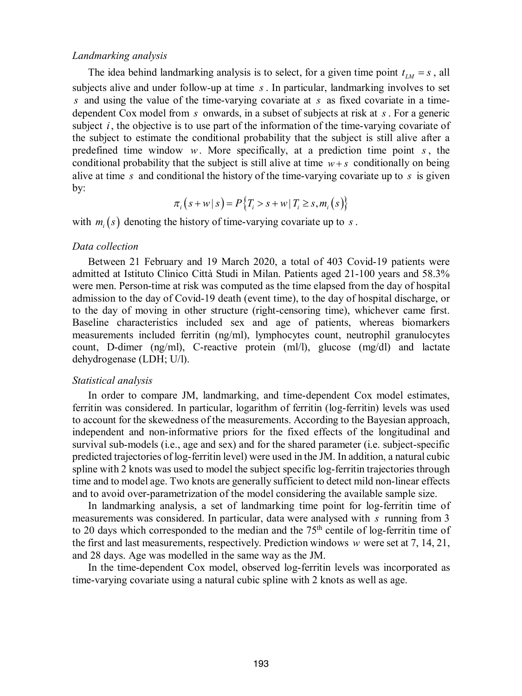#### *Landmarking analysis*

The idea behind landmarking analysis is to select, for a given time point  $t_{1M} = s$ , all subjects alive and under follow-up at time *s* . In particular, landmarking involves to set *s* and using the value of the time-varying covariate at *s* as fixed covariate in a timedependent Cox model from *s* onwards, in a subset of subjects at risk at *s* . For a generic subject *i*, the objective is to use part of the information of the time-varying covariate of the subject to estimate the conditional probability that the subject is still alive after a predefined time window  $w$ . More specifically, at a prediction time point  $s$ , the conditional probability that the subject is still alive at time  $w + s$  conditionally on being alive at time *s* and conditional the history of the time-varying covariate up to *s* is given by:

$$
\pi_i(s + w \mid s) = P\{T_i > s + w \mid T_i \ge s, m_i(s)\}
$$

with  $m_i(s)$  denoting the history of time-varying covariate up to  $s$ .

#### *Data collection*

Between 21 February and 19 March 2020, a total of 403 Covid-19 patients were admitted at Istituto Clinico Città Studi in Milan. Patients aged 21-100 years and 58.3% were men. Person-time at risk was computed as the time elapsed from the day of hospital admission to the day of Covid-19 death (event time), to the day of hospital discharge, or to the day of moving in other structure (right-censoring time), whichever came first. Baseline characteristics included sex and age of patients, whereas biomarkers measurements included ferritin (ng/ml), lymphocytes count, neutrophil granulocytes count, D-dimer (ng/ml), C-reactive protein (ml/l), glucose (mg/dl) and lactate dehydrogenase (LDH; U/l).

#### *Statistical analysis*

In order to compare JM, landmarking, and time-dependent Cox model estimates, ferritin was considered. In particular, logarithm of ferritin (log-ferritin) levels was used to account for the skewedness of the measurements. According to the Bayesian approach, independent and non-informative priors for the fixed effects of the longitudinal and survival sub-models (i.e., age and sex) and for the shared parameter (i.e. subject-specific predicted trajectories of log-ferritin level) were used in the JM. In addition, a natural cubic spline with 2 knots was used to model the subject specific log-ferritin trajectories through time and to model age. Two knots are generally sufficient to detect mild non-linear effects and to avoid over-parametrization of the model considering the available sample size.

In landmarking analysis, a set of landmarking time point for log-ferritin time of measurements was considered. In particular, data were analysed with *s* running from 3 to 20 days which corresponded to the median and the  $75<sup>th</sup>$  centile of log-ferritin time of the first and last measurements, respectively. Prediction windows *w* were set at 7, 14, 21, and 28 days. Age was modelled in the same way as the JM.

In the time-dependent Cox model, observed log-ferritin levels was incorporated as time-varying covariate using a natural cubic spline with 2 knots as well as age.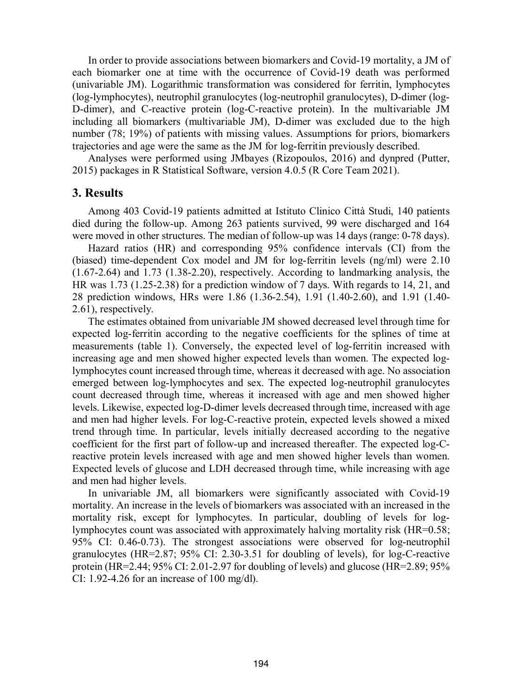In order to provide associations between biomarkers and Covid-19 mortality, a JM of each biomarker one at time with the occurrence of Covid-19 death was performed (univariable JM). Logarithmic transformation was considered for ferritin, lymphocytes (log-lymphocytes), neutrophil granulocytes (log-neutrophil granulocytes), D-dimer (log-D-dimer), and C-reactive protein (log-C-reactive protein). In the multivariable JM including all biomarkers (multivariable JM), D-dimer was excluded due to the high number (78; 19%) of patients with missing values. Assumptions for priors, biomarkers trajectories and age were the same as the JM for log-ferritin previously described.

Analyses were performed using JMbayes (Rizopoulos, 2016) and dynpred (Putter, 2015) packages in R Statistical Software, version 4.0.5 (R Core Team 2021).

## **3. Results**

Among 403 Covid-19 patients admitted at Istituto Clinico Città Studi, 140 patients died during the follow-up. Among 263 patients survived, 99 were discharged and 164 were moved in other structures. The median of follow-up was 14 days (range: 0-78 days).

Hazard ratios (HR) and corresponding 95% confidence intervals (CI) from the (biased) time-dependent Cox model and JM for log-ferritin levels (ng/ml) were 2.10 (1.67-2.64) and 1.73 (1.38-2.20), respectively. According to landmarking analysis, the HR was 1.73 (1.25-2.38) for a prediction window of 7 days. With regards to 14, 21, and 28 prediction windows, HRs were 1.86 (1.36-2.54), 1.91 (1.40-2.60), and 1.91 (1.40- 2.61), respectively.

The estimates obtained from univariable JM showed decreased level through time for expected log-ferritin according to the negative coefficients for the splines of time at measurements (table 1). Conversely, the expected level of log-ferritin increased with increasing age and men showed higher expected levels than women. The expected loglymphocytes count increased through time, whereas it decreased with age. No association emerged between log-lymphocytes and sex. The expected log-neutrophil granulocytes count decreased through time, whereas it increased with age and men showed higher levels. Likewise, expected log-D-dimer levels decreased through time, increased with age and men had higher levels. For log-C-reactive protein, expected levels showed a mixed trend through time. In particular, levels initially decreased according to the negative coefficient for the first part of follow-up and increased thereafter. The expected log-Creactive protein levels increased with age and men showed higher levels than women. Expected levels of glucose and LDH decreased through time, while increasing with age and men had higher levels.

In univariable JM, all biomarkers were significantly associated with Covid-19 mortality. An increase in the levels of biomarkers was associated with an increased in the mortality risk, except for lymphocytes. In particular, doubling of levels for loglymphocytes count was associated with approximately halving mortality risk (HR=0.58; 95% CI: 0.46-0.73). The strongest associations were observed for log-neutrophil granulocytes (HR=2.87; 95% CI: 2.30-3.51 for doubling of levels), for log-C-reactive protein (HR=2.44; 95% CI: 2.01-2.97 for doubling of levels) and glucose (HR=2.89; 95% CI: 1.92-4.26 for an increase of 100 mg/dl).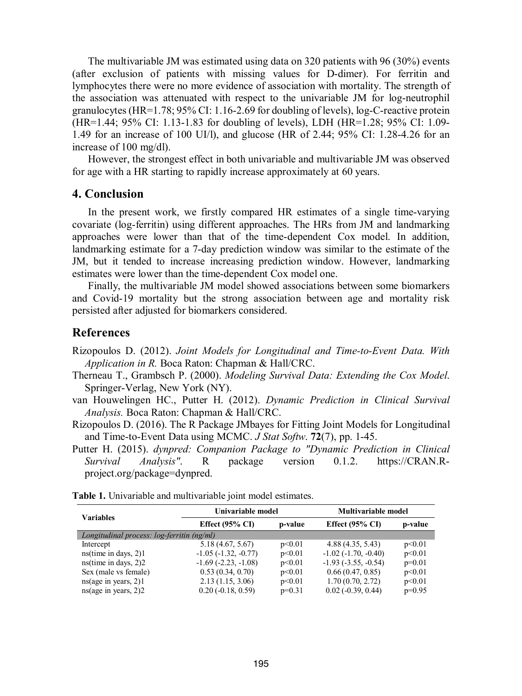The multivariable JM was estimated using data on 320 patients with 96 (30%) events (after exclusion of patients with missing values for D-dimer). For ferritin and lymphocytes there were no more evidence of association with mortality. The strength of the association was attenuated with respect to the univariable JM for log-neutrophil granulocytes (HR=1.78; 95% CI: 1.16-2.69 for doubling of levels), log-C-reactive protein (HR=1.44; 95% CI: 1.13-1.83 for doubling of levels), LDH (HR=1.28; 95% CI: 1.09- 1.49 for an increase of 100 UI/l), and glucose (HR of 2.44; 95% CI: 1.28-4.26 for an increase of 100 mg/dl).

However, the strongest effect in both univariable and multivariable JM was observed for age with a HR starting to rapidly increase approximately at 60 years.

## **4. Conclusion**

In the present work, we firstly compared HR estimates of a single time-varying covariate (log-ferritin) using different approaches. The HRs from JM and landmarking approaches were lower than that of the time-dependent Cox model. In addition, landmarking estimate for a 7-day prediction window was similar to the estimate of the JM, but it tended to increase increasing prediction window. However, landmarking estimates were lower than the time-dependent Cox model one.

Finally, the multivariable JM model showed associations between some biomarkers and Covid-19 mortality but the strong association between age and mortality risk persisted after adjusted for biomarkers considered.

## **References**

Rizopoulos D. (2012). *Joint Models for Longitudinal and Time-to-Event Data. With Application in R.* Boca Raton: Chapman & Hall/CRC.

- Therneau T., Grambsch P. (2000). *Modeling Survival Data: Extending the Cox Model*. Springer-Verlag, New York (NY).
- van Houwelingen HC., Putter H. (2012). *Dynamic Prediction in Clinical Survival Analysis.* Boca Raton: Chapman & Hall/CRC.
- Rizopoulos D. (2016). The R Package JMbayes for Fitting Joint Models for Longitudinal and Time-to-Event Data using MCMC. *J Stat Softw*. **72**(7), pp. 1-45.
- Putter H. (2015). *dynpred: Companion Package to "Dynamic Prediction in Clinical Survival Analysis"*. R package version 0.1.2. https://CRAN.Rproject.org/package=dynpred.

| <b>Variables</b>                           | Univariable model             |          | Multivariable model         |          |  |  |
|--------------------------------------------|-------------------------------|----------|-----------------------------|----------|--|--|
|                                            | Effect $(95\% \text{ CI})$    | p-value  | Effect $(95\% \text{ CI})$  | p-value  |  |  |
| Longitudinal process: log-ferritin (ng/ml) |                               |          |                             |          |  |  |
| Intercept                                  | 5.18 (4.67, 5.67)             | p<0.01   | 4.88(4.35, 5.43)            | p<0.01   |  |  |
| $ns$ (time in days, 2)1                    | $-1.05$ ( $-1.32$ , $-0.77$ ) | p<0.01   | $-1.02(-1.70, -0.40)$       | p<0.01   |  |  |
| $ns$ (time in days, 2)2                    | $-1.69$ $(-2.23, -1.08)$      | p<0.01   | $-1.93$ $(-3.55, -0.54)$    | $p=0.01$ |  |  |
| Sex (male vs female)                       | 0.53(0.34, 0.70)              | p<0.01   | 0.66(0.47, 0.85)            | p<0.01   |  |  |
| ns(age in years, 2)1                       | 2.13(1.15, 3.06)              | p<0.01   | 1.70(0.70, 2.72)            | p<0.01   |  |  |
| ns(age in years, 2)2                       | $0.20(-0.18, 0.59)$           | $p=0.31$ | $0.02$ ( $-0.39$ , $0.44$ ) | $p=0.95$ |  |  |

**Table 1.** Univariable and multivariable joint model estimates.